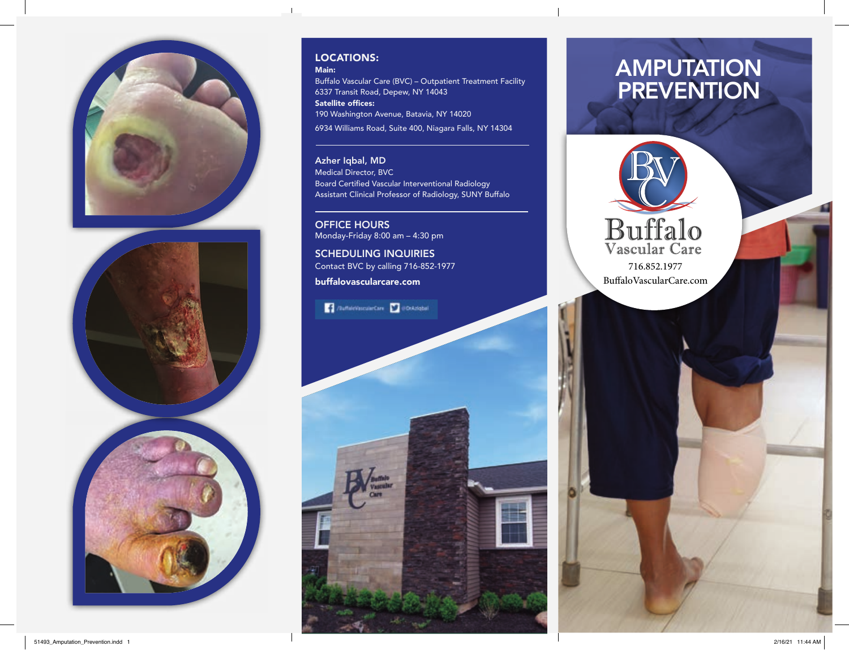



### LOCATIONS:

Main:

 $\overline{1}$ 

Buffalo Vascular Care (BVC) – Outpatient Treatment Facility 6337 Transit Road, Depew, NY 14043 Satellite offices: 190 Washington Avenue, Batavia, NY 14020 6934 Williams Road, Suite 400, Niagara Falls, NY 14304

Azher Iqbal, MD Medical Director, BVC Board Certified Vascular Interventional Radiology Assistant Clinical Professor of Radiology, SUNY Buffalo

OFFICE HOURS Monday-Friday 8:00 am – 4:30 pm

SCHEDULING INQUIRIES Contact BVC by calling 716-852-1977

buffalovascularcare.com





![](_page_0_Picture_11.jpeg)

BuffaloVascularCare.com